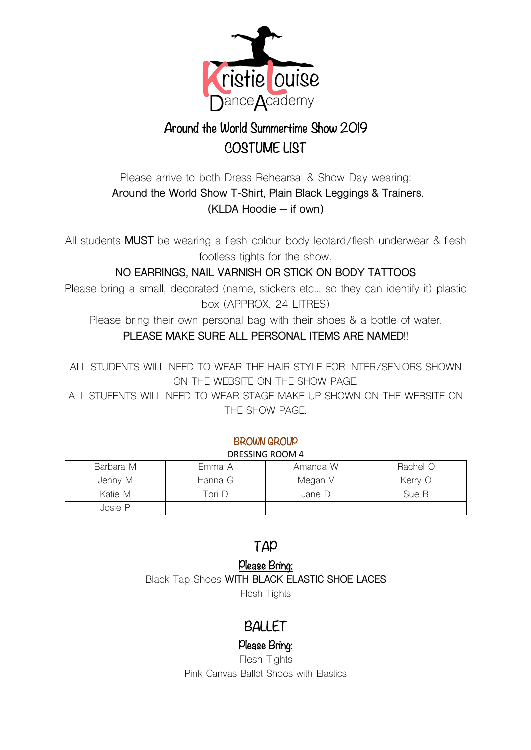

# Around the World Summertime Show 2019 COSTUME LIST

### Please arrive to both Dress Rehearsal & Show Day wearing: **Around the World Show T-Shirt, Plain Black Leggings & Trainers. (KLDA Hoodie – if own)**

All students **MUST** be wearing a flesh colour body leotard/flesh underwear & flesh footless tights for the show.

**NO EARRINGS, NAIL VARNISH OR STICK ON BODY TATTOOS**

Please bring a small, decorated (name, stickers etc… so they can identify it) plastic box (APPROX. 24 LITRES)

Please bring their own personal bag with their shoes & a bottle of water. **PLEASE MAKE SURE ALL PERSONAL ITEMS ARE NAMED!!**

ALL STUDENTS WILL NEED TO WEAR THE HAIR STYLE FOR INTER/SENIORS SHOWN ON THE WEBSITE ON THE SHOW PAGE.

ALL STUFENTS WILL NEED TO WEAR STAGE MAKE UP SHOWN ON THE WEBSITE ON THE SHOW PAGE.

#### BROWN GROUP

#### DRESSING ROOM 4

| Barbara M | Emma A  | Amanda W | Rachel O |
|-----------|---------|----------|----------|
| Jenny M   | Hanna G | Megan V  | Kerry O  |
| Katie M   | Tori D  | Jane D   | Sue B    |
| Josie P   |         |          |          |

### TAP

#### Please Bring:

Black Tap Shoes **WITH BLACK ELASTIC SHOE LACES** Flesh Tights

## BALLET

### Please Bring:

Flesh Tights Pink Canvas Ballet Shoes with Elastics